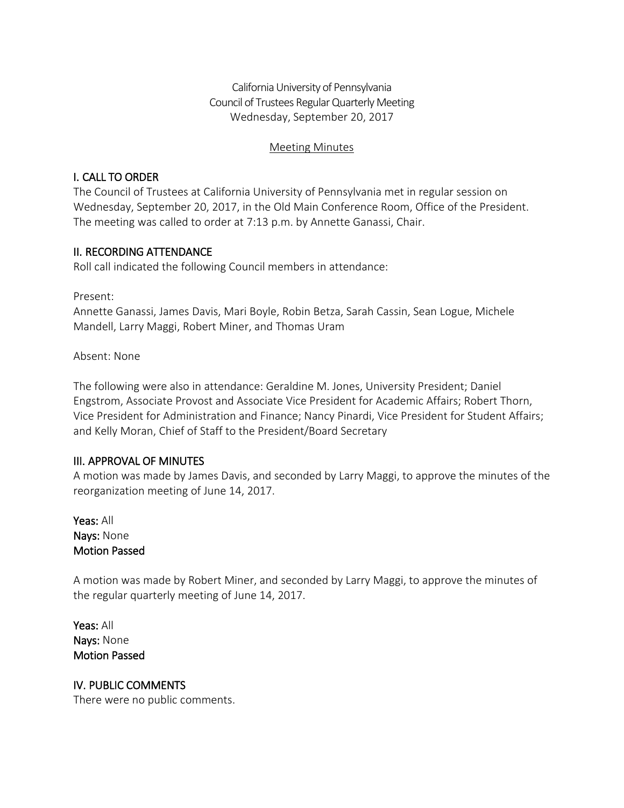California University of Pennsylvania Council of Trustees Regular Quarterly Meeting Wednesday, September 20, 2017

#### Meeting Minutes

## I. CALL TO ORDER

The Council of Trustees at California University of Pennsylvania met in regular session on Wednesday, September 20, 2017, in the Old Main Conference Room, Office of the President. The meeting was called to order at 7:13 p.m. by Annette Ganassi, Chair.

## II. RECORDING ATTENDANCE

Roll call indicated the following Council members in attendance:

Present:

Annette Ganassi, James Davis, Mari Boyle, Robin Betza, Sarah Cassin, Sean Logue, Michele Mandell, Larry Maggi, Robert Miner, and Thomas Uram

Absent: None

The following were also in attendance: Geraldine M. Jones, University President; Daniel Engstrom, Associate Provost and Associate Vice President for Academic Affairs; Robert Thorn, Vice President for Administration and Finance; Nancy Pinardi, Vice President for Student Affairs; and Kelly Moran, Chief of Staff to the President/Board Secretary

### III. APPROVAL OF MINUTES

A motion was made by James Davis, and seconded by Larry Maggi, to approve the minutes of the reorganization meeting of June 14, 2017.

Yeas: All Nays: None Motion Passed

A motion was made by Robert Miner, and seconded by Larry Maggi, to approve the minutes of the regular quarterly meeting of June 14, 2017.

Yeas: All Nays: None Motion Passed

# IV. PUBLIC COMMENTS

There were no public comments.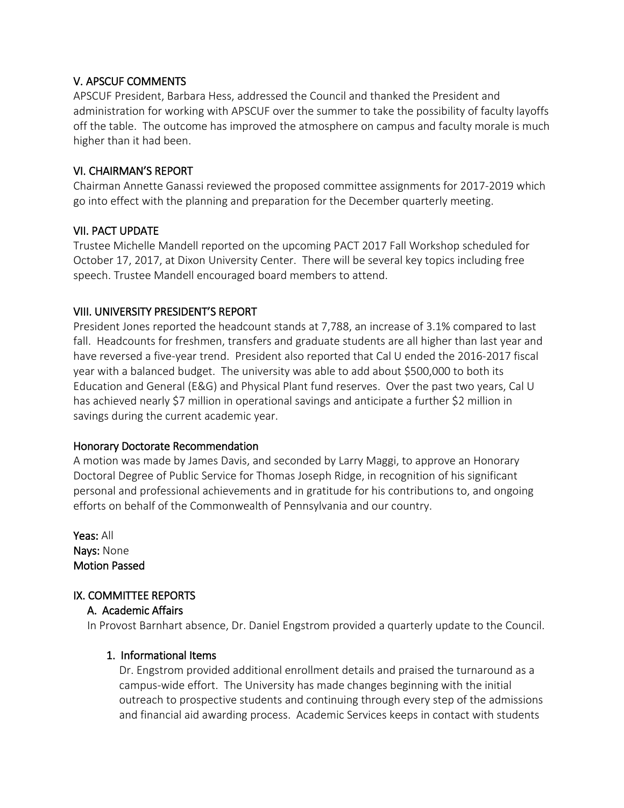### V. APSCUF COMMENTS

APSCUF President, Barbara Hess, addressed the Council and thanked the President and administration for working with APSCUF over the summer to take the possibility of faculty layoffs off the table. The outcome has improved the atmosphere on campus and faculty morale is much higher than it had been.

## VI. CHAIRMAN'S REPORT

Chairman Annette Ganassi reviewed the proposed committee assignments for 2017-2019 which go into effect with the planning and preparation for the December quarterly meeting.

## VII. PACT UPDATE

Trustee Michelle Mandell reported on the upcoming PACT 2017 Fall Workshop scheduled for October 17, 2017, at Dixon University Center. There will be several key topics including free speech. Trustee Mandell encouraged board members to attend.

## VIII. UNIVERSITY PRESIDENT'S REPORT

President Jones reported the headcount stands at 7,788, an increase of 3.1% compared to last fall. Headcounts for freshmen, transfers and graduate students are all higher than last year and have reversed a five-year trend. President also reported that Cal U ended the 2016-2017 fiscal year with a balanced budget. The university was able to add about \$500,000 to both its Education and General (E&G) and Physical Plant fund reserves. Over the past two years, Cal U has achieved nearly \$7 million in operational savings and anticipate a further \$2 million in savings during the current academic year.

### Honorary Doctorate Recommendation

A motion was made by James Davis, and seconded by Larry Maggi, to approve an Honorary Doctoral Degree of Public Service for Thomas Joseph Ridge, in recognition of his significant personal and professional achievements and in gratitude for his contributions to, and ongoing efforts on behalf of the Commonwealth of Pennsylvania and our country.

Yeas: All Nays: None Motion Passed

# IX. COMMITTEE REPORTS

### A. Academic Affairs

In Provost Barnhart absence, Dr. Daniel Engstrom provided a quarterly update to the Council.

### 1. Informational Items

Dr. Engstrom provided additional enrollment details and praised the turnaround as a campus-wide effort. The University has made changes beginning with the initial outreach to prospective students and continuing through every step of the admissions and financial aid awarding process. Academic Services keeps in contact with students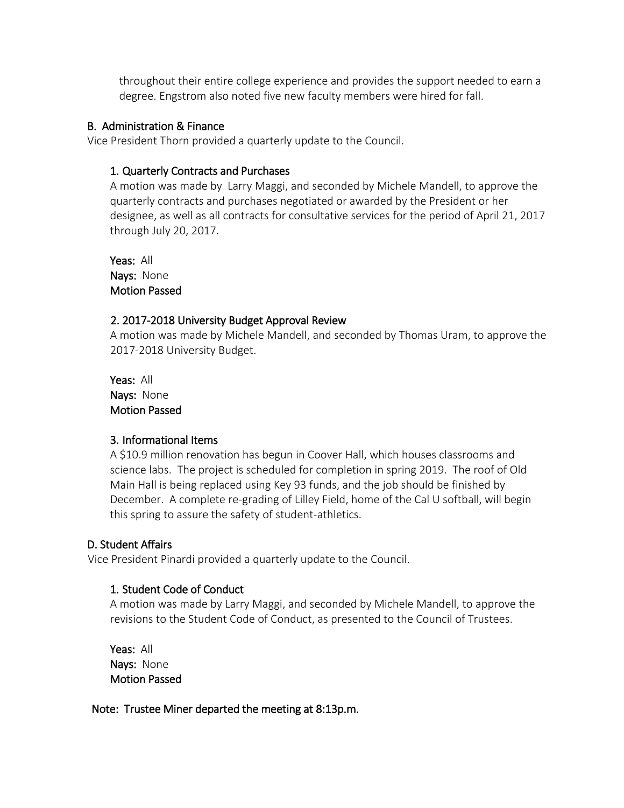throughout their entire college experience and provides the support needed to earn a degree. Engstrom also noted five new faculty members were hired for fall.

#### B. Administration & Finance

Vice President Thorn provided a quarterly update to the Council.

#### 1. Quarterly Contracts and Purchases

A motion was made by Larry Maggi, and seconded by Michele Mandell, to approve the quarterly contracts and purchases negotiated or awarded by the President or her designee, as well as all contracts for consultative services for the period of April 21, 2017 through July 20, 2017.

Yeas: All Nays: None Motion Passed

#### 2. 2017-2018 University Budget Approval Review

A motion was made by Michele Mandell, and seconded by Thomas Uram, to approve the 2017-2018 University Budget.

Yeas: All Nays: None Motion Passed

### 3. Informational Items

A \$10.9 million renovation has begun in Coover Hall, which houses classrooms and science labs. The project is scheduled for completion in spring 2019. The roof of Old Main Hall is being replaced using Key 93 funds, and the job should be finished by December. A complete re-grading of Lilley Field, home of the Cal U softball, will begin this spring to assure the safety of student-athletics.

### D. Student Affairs

Vice President Pinardi provided a quarterly update to the Council.

### 1. Student Code of Conduct

A motion was made by Larry Maggi, and seconded by Michele Mandell, to approve the revisions to the Student Code of Conduct, as presented to the Council of Trustees.

 Yeas: All Nays: None Motion Passed

Note: Trustee Miner departed the meeting at 8:13p.m.